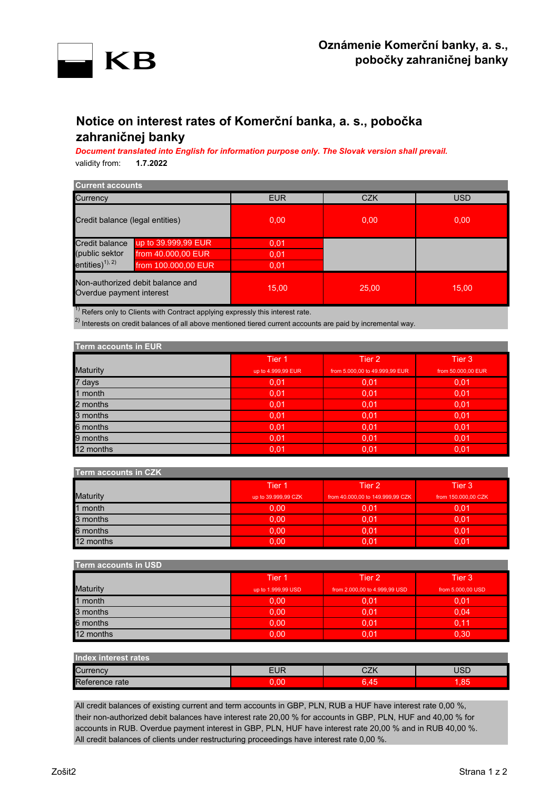

# **Notice on interest rates of Komerční banka, a. s., pobočka zahraničnej banky**

*Document translated into English for information purpose only. The Slovak version shall prevail.* validity from: **1.7.2022**

| <b>Current accounts</b>                                      |                     |            |            |            |
|--------------------------------------------------------------|---------------------|------------|------------|------------|
| Currency                                                     |                     | <b>EUR</b> | <b>CZK</b> | <b>USD</b> |
| Credit balance (legal entities)                              |                     | 0.00       | 0.00       | 0,00       |
| Credit balance                                               | up to 39.999,99 EUR | 0.01       |            |            |
| (public sektor                                               | from 40.000,00 EUR  | 0,01       |            |            |
| entities) $^{1), 2)}$                                        | from 100.000,00 EUR | 0.01       |            |            |
| Non-authorized debit balance and<br>Overdue payment interest |                     | 15,00      | 25,00      | 15,00      |

 $^{1)}$  Refers only to Clients with Contract applying expressly this interest rate.

 $^{2)}$  Interests on credit balances of all above mentioned tiered current accounts are paid by incremental way.

| <b>Term accounts in EUR</b> |                    |                                |                    |
|-----------------------------|--------------------|--------------------------------|--------------------|
|                             | Tier 1             | Tier 2                         | Tier 3             |
| <b>Maturity</b>             | up to 4.999,99 EUR | from 5,000,00 to 49,999,99 EUR | from 50,000,00 EUR |
| 7 days                      | 0,01               | 0,01                           | 0.01               |
| 1 month                     | 0,01               | 0.01                           | 0,01               |
| 2 months                    | 0,01               | 0.01                           | 0.01               |
| 3 months                    | 0.01               | 0,01                           | 0.01               |
| 6 months                    | 0,01               | 0.01                           | 0,01               |
| 9 months                    | 0,01               | 0.01                           | 0,01               |
| 12 months                   | 0,01               | 0,01                           | 0,01               |

| <b>Term accounts in CZK</b> |                     |                                  |                     |
|-----------------------------|---------------------|----------------------------------|---------------------|
|                             | Tier <sub>1</sub>   | Tier 2                           | Tier 3              |
| <b>Maturity</b>             | up to 39.999,99 CZK | from 40.000,00 to 149.999,99 CZK | from 150.000,00 CZK |
| 1 month                     | 0.00                | 0.01                             | 0.01                |
| 3 months                    | 0.00                | 0.01                             | 0,01                |
| 6 months                    | 0.00                | 0.01                             | 0.01                |
| 12 months                   | 0.00                | 0.01                             | 0.01                |

| <b>Term accounts in USD</b> |                    |                               |                   |
|-----------------------------|--------------------|-------------------------------|-------------------|
|                             | Tier 1             | Tier 2                        | Tier 3            |
| <b>Maturity</b>             | up to 1.999,99 USD | from 2.000,00 to 4.999,99 USD | from 5,000,00 USD |
| 1 month                     | 0.00               | 0,01                          | 0.01              |
| 3 months                    | 0,00               | 0,01                          | 0.04              |
| 6 months                    | 0.00               | 0.01                          | 0.11              |
| 12 months                   | 0.00               | 0.01                          | 0.30              |

| Index interest rates |        |      |     |
|----------------------|--------|------|-----|
| Currency             | EUR    | ייר  | JSD |
| Reference rate       | $\cap$ | 6.45 | .85 |

All credit balances of existing current and term accounts in GBP, PLN, RUB a HUF have interest rate 0,00 %, their non-authorized debit balances have interest rate 20,00 % for accounts in GBP, PLN, HUF and 40,00 % for accounts in RUB. Overdue payment interest in GBP, PLN, HUF have interest rate 20,00 % and in RUB 40,00 %. All credit balances of clients under restructuring proceedings have interest rate 0,00 %.